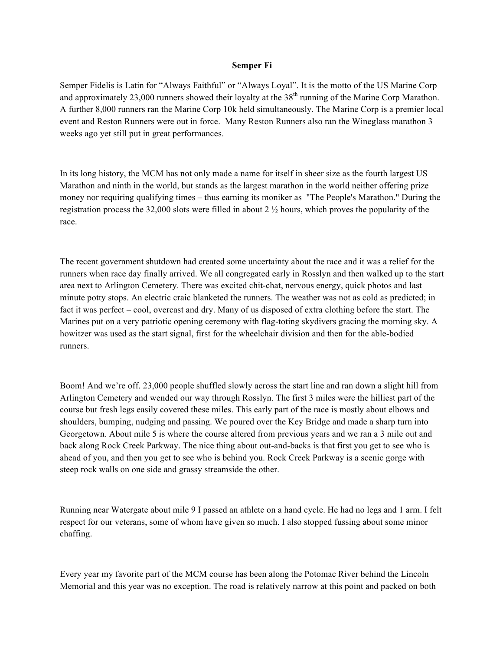## **Semper Fi**

Semper Fidelis is Latin for "Always Faithful" or "Always Loyal". It is the motto of the US Marine Corp and approximately 23,000 runners showed their loyalty at the  $38<sup>th</sup>$  running of the Marine Corp Marathon. A further 8,000 runners ran the Marine Corp 10k held simultaneously. The Marine Corp is a premier local event and Reston Runners were out in force. Many Reston Runners also ran the Wineglass marathon 3 weeks ago yet still put in great performances.

In its long history, the MCM has not only made a name for itself in sheer size as the fourth largest US Marathon and ninth in the world, but stands as the largest marathon in the world neither offering prize money nor requiring qualifying times – thus earning its moniker as "The People's Marathon." During the registration process the 32,000 slots were filled in about 2 ½ hours, which proves the popularity of the race.

The recent government shutdown had created some uncertainty about the race and it was a relief for the runners when race day finally arrived. We all congregated early in Rosslyn and then walked up to the start area next to Arlington Cemetery. There was excited chit-chat, nervous energy, quick photos and last minute potty stops. An electric craic blanketed the runners. The weather was not as cold as predicted; in fact it was perfect – cool, overcast and dry. Many of us disposed of extra clothing before the start. The Marines put on a very patriotic opening ceremony with flag-toting skydivers gracing the morning sky. A howitzer was used as the start signal, first for the wheelchair division and then for the able-bodied runners.

Boom! And we're off. 23,000 people shuffled slowly across the start line and ran down a slight hill from Arlington Cemetery and wended our way through Rosslyn. The first 3 miles were the hilliest part of the course but fresh legs easily covered these miles. This early part of the race is mostly about elbows and shoulders, bumping, nudging and passing. We poured over the Key Bridge and made a sharp turn into Georgetown. About mile 5 is where the course altered from previous years and we ran a 3 mile out and back along Rock Creek Parkway. The nice thing about out-and-backs is that first you get to see who is ahead of you, and then you get to see who is behind you. Rock Creek Parkway is a scenic gorge with steep rock walls on one side and grassy streamside the other.

Running near Watergate about mile 9 I passed an athlete on a hand cycle. He had no legs and 1 arm. I felt respect for our veterans, some of whom have given so much. I also stopped fussing about some minor chaffing.

Every year my favorite part of the MCM course has been along the Potomac River behind the Lincoln Memorial and this year was no exception. The road is relatively narrow at this point and packed on both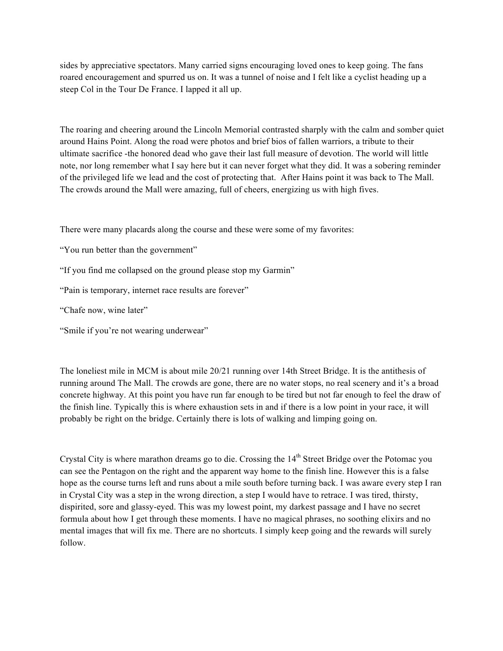sides by appreciative spectators. Many carried signs encouraging loved ones to keep going. The fans roared encouragement and spurred us on. It was a tunnel of noise and I felt like a cyclist heading up a steep Col in the Tour De France. I lapped it all up.

The roaring and cheering around the Lincoln Memorial contrasted sharply with the calm and somber quiet around Hains Point. Along the road were photos and brief bios of fallen warriors, a tribute to their ultimate sacrifice -the honored dead who gave their last full measure of devotion. The world will little note, nor long remember what I say here but it can never forget what they did. It was a sobering reminder of the privileged life we lead and the cost of protecting that. After Hains point it was back to The Mall. The crowds around the Mall were amazing, full of cheers, energizing us with high fives.

There were many placards along the course and these were some of my favorites:

"You run better than the government"

"If you find me collapsed on the ground please stop my Garmin"

"Pain is temporary, internet race results are forever"

"Chafe now, wine later"

"Smile if you're not wearing underwear"

The loneliest mile in MCM is about mile 20/21 running over 14th Street Bridge. It is the antithesis of running around The Mall. The crowds are gone, there are no water stops, no real scenery and it's a broad concrete highway. At this point you have run far enough to be tired but not far enough to feel the draw of the finish line. Typically this is where exhaustion sets in and if there is a low point in your race, it will probably be right on the bridge. Certainly there is lots of walking and limping going on.

Crystal City is where marathon dreams go to die. Crossing the 14<sup>th</sup> Street Bridge over the Potomac you can see the Pentagon on the right and the apparent way home to the finish line. However this is a false hope as the course turns left and runs about a mile south before turning back. I was aware every step I ran in Crystal City was a step in the wrong direction, a step I would have to retrace. I was tired, thirsty, dispirited, sore and glassy-eyed. This was my lowest point, my darkest passage and I have no secret formula about how I get through these moments. I have no magical phrases, no soothing elixirs and no mental images that will fix me. There are no shortcuts. I simply keep going and the rewards will surely follow.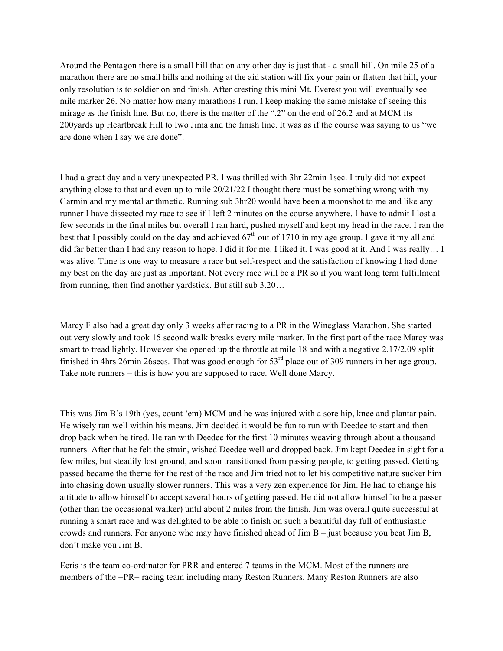Around the Pentagon there is a small hill that on any other day is just that - a small hill. On mile 25 of a marathon there are no small hills and nothing at the aid station will fix your pain or flatten that hill, your only resolution is to soldier on and finish. After cresting this mini Mt. Everest you will eventually see mile marker 26. No matter how many marathons I run, I keep making the same mistake of seeing this mirage as the finish line. But no, there is the matter of the ".2" on the end of 26.2 and at MCM its 200yards up Heartbreak Hill to Iwo Jima and the finish line. It was as if the course was saying to us "we are done when I say we are done".

I had a great day and a very unexpected PR. I was thrilled with 3hr 22min 1sec. I truly did not expect anything close to that and even up to mile 20/21/22 I thought there must be something wrong with my Garmin and my mental arithmetic. Running sub 3hr20 would have been a moonshot to me and like any runner I have dissected my race to see if I left 2 minutes on the course anywhere. I have to admit I lost a few seconds in the final miles but overall I ran hard, pushed myself and kept my head in the race. I ran the best that I possibly could on the day and achieved  $67<sup>th</sup>$  out of 1710 in my age group. I gave it my all and did far better than I had any reason to hope. I did it for me. I liked it. I was good at it. And I was really… I was alive. Time is one way to measure a race but self-respect and the satisfaction of knowing I had done my best on the day are just as important. Not every race will be a PR so if you want long term fulfillment from running, then find another yardstick. But still sub 3.20…

Marcy F also had a great day only 3 weeks after racing to a PR in the Wineglass Marathon. She started out very slowly and took 15 second walk breaks every mile marker. In the first part of the race Marcy was smart to tread lightly. However she opened up the throttle at mile 18 and with a negative 2.17/2.09 split finished in 4hrs 26min 26secs. That was good enough for 53<sup>rd</sup> place out of 309 runners in her age group. Take note runners – this is how you are supposed to race. Well done Marcy.

This was Jim B's 19th (yes, count 'em) MCM and he was injured with a sore hip, knee and plantar pain. He wisely ran well within his means. Jim decided it would be fun to run with Deedee to start and then drop back when he tired. He ran with Deedee for the first 10 minutes weaving through about a thousand runners. After that he felt the strain, wished Deedee well and dropped back. Jim kept Deedee in sight for a few miles, but steadily lost ground, and soon transitioned from passing people, to getting passed. Getting passed became the theme for the rest of the race and Jim tried not to let his competitive nature sucker him into chasing down usually slower runners. This was a very zen experience for Jim. He had to change his attitude to allow himself to accept several hours of getting passed. He did not allow himself to be a passer (other than the occasional walker) until about 2 miles from the finish. Jim was overall quite successful at running a smart race and was delighted to be able to finish on such a beautiful day full of enthusiastic crowds and runners. For anyone who may have finished ahead of  $\text{Jim } B$  – just because you beat  $\text{Jim } B$ , don't make you Jim B.

Ecris is the team co-ordinator for PRR and entered 7 teams in the MCM. Most of the runners are members of the =PR= racing team including many Reston Runners. Many Reston Runners are also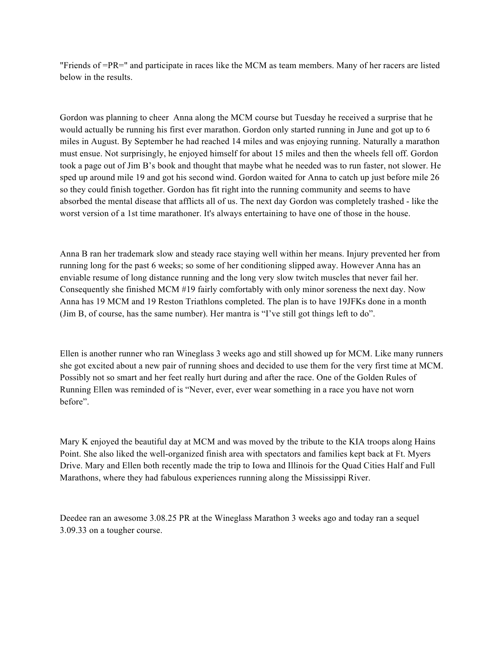"Friends of =PR=" and participate in races like the MCM as team members. Many of her racers are listed below in the results.

Gordon was planning to cheer Anna along the MCM course but Tuesday he received a surprise that he would actually be running his first ever marathon. Gordon only started running in June and got up to 6 miles in August. By September he had reached 14 miles and was enjoying running. Naturally a marathon must ensue. Not surprisingly, he enjoyed himself for about 15 miles and then the wheels fell off. Gordon took a page out of Jim B's book and thought that maybe what he needed was to run faster, not slower. He sped up around mile 19 and got his second wind. Gordon waited for Anna to catch up just before mile 26 so they could finish together. Gordon has fit right into the running community and seems to have absorbed the mental disease that afflicts all of us. The next day Gordon was completely trashed - like the worst version of a 1st time marathoner. It's always entertaining to have one of those in the house.

Anna B ran her trademark slow and steady race staying well within her means. Injury prevented her from running long for the past 6 weeks; so some of her conditioning slipped away. However Anna has an enviable resume of long distance running and the long very slow twitch muscles that never fail her. Consequently she finished MCM #19 fairly comfortably with only minor soreness the next day. Now Anna has 19 MCM and 19 Reston Triathlons completed. The plan is to have 19JFKs done in a month (Jim B, of course, has the same number). Her mantra is "I've still got things left to do".

Ellen is another runner who ran Wineglass 3 weeks ago and still showed up for MCM. Like many runners she got excited about a new pair of running shoes and decided to use them for the very first time at MCM. Possibly not so smart and her feet really hurt during and after the race. One of the Golden Rules of Running Ellen was reminded of is "Never, ever, ever wear something in a race you have not worn before".

Mary K enjoyed the beautiful day at MCM and was moved by the tribute to the KIA troops along Hains Point. She also liked the well-organized finish area with spectators and families kept back at Ft. Myers Drive. Mary and Ellen both recently made the trip to Iowa and Illinois for the Quad Cities Half and Full Marathons, where they had fabulous experiences running along the Mississippi River.

Deedee ran an awesome 3.08.25 PR at the Wineglass Marathon 3 weeks ago and today ran a sequel 3.09.33 on a tougher course.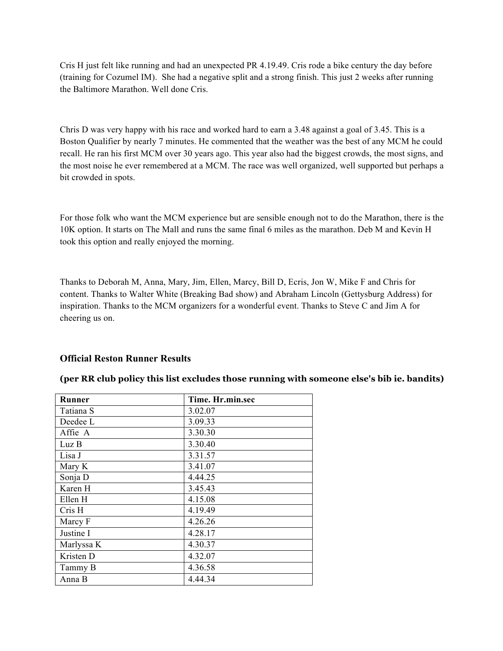Cris H just felt like running and had an unexpected PR 4.19.49. Cris rode a bike century the day before (training for Cozumel IM). She had a negative split and a strong finish. This just 2 weeks after running the Baltimore Marathon. Well done Cris.

Chris D was very happy with his race and worked hard to earn a 3.48 against a goal of 3.45. This is a Boston Qualifier by nearly 7 minutes. He commented that the weather was the best of any MCM he could recall. He ran his first MCM over 30 years ago. This year also had the biggest crowds, the most signs, and the most noise he ever remembered at a MCM. The race was well organized, well supported but perhaps a bit crowded in spots.

For those folk who want the MCM experience but are sensible enough not to do the Marathon, there is the 10K option. It starts on The Mall and runs the same final 6 miles as the marathon. Deb M and Kevin H took this option and really enjoyed the morning.

Thanks to Deborah M, Anna, Mary, Jim, Ellen, Marcy, Bill D, Ecris, Jon W, Mike F and Chris for content. Thanks to Walter White (Breaking Bad show) and Abraham Lincoln (Gettysburg Address) for inspiration. Thanks to the MCM organizers for a wonderful event. Thanks to Steve C and Jim A for cheering us on.

## **Official Reston Runner Results**

| Runner     | Time. Hr.min.sec |
|------------|------------------|
| Tatiana S  | 3.02.07          |
| Deedee L   | 3.09.33          |
| Affie A    | 3.30.30          |
| LuzB       | 3.30.40          |
| Lisa J     | 3.31.57          |
| Mary K     | 3.41.07          |
| Sonja D    | 4.44.25          |
| Karen H    | 3.45.43          |
| Ellen H    | 4.15.08          |
| Cris H     | 4.19.49          |
| Marcy F    | 4.26.26          |
| Justine I  | 4.28.17          |
| Marlyssa K | 4.30.37          |
| Kristen D  | 4.32.07          |
| Tammy B    | 4.36.58          |
| Anna B     | 4.44.34          |

## **(per RR club policy this list excludes those running with someone else's bib ie. bandits)**